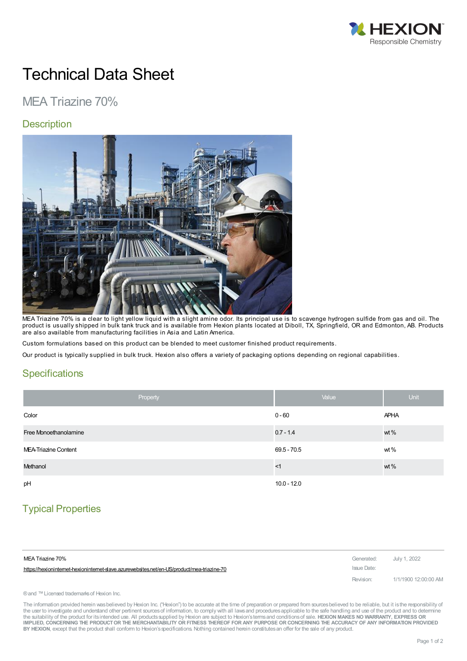

# Technical Data Sheet

## MEA Triazine 70%

#### **Description**



MEA Triazine 70% is a clear to light yellow liquid with a slight amine odor. Its principal use is to scavenge hydrogen sulfide from gas and oil. The product is usually shipped in bulk tank truck and is available from Hexion plants located at Diboll, TX, Springfield, OR and Edmonton, AB. Products are also available from manufacturing facilities in Asia and Latin America.

Custom formulations based on this product can be blended to meet customer finished product requirements.

Our product is typically supplied in bulk truck. Hexion also offers a variety of packaging options depending on regional capabilities.

#### **Specifications**

| Property              | Value         | <b>Unit</b> |
|-----------------------|---------------|-------------|
| Color                 | $0 - 60$      | <b>APHA</b> |
| Free Monoethanolamine | $0.7 - 1.4$   | wt%         |
| MEA-Triazine Content  | $69.5 - 70.5$ | wt%         |
| Methanol              | <1            | wt%         |
| pH                    | $10.0 - 12.0$ |             |

## Typical Properties

| MEA Triazine 70%                                                                          | Generated: July 1, 2022 |                      |
|-------------------------------------------------------------------------------------------|-------------------------|----------------------|
| https://hexionintemet-hexionintemet-slave.azurewebsites.net/en-US/product/mea-triazine-70 | Issue Date:             |                      |
|                                                                                           | Revision:               | 1/1/1900 12:00:00 AM |

® and ™ Licensed trademarks of Hexion Inc.

The information provided herein was believed by Hexion Inc. ("Hexion") to be accurate at the time of preparation or prepared from sources believed to be reliable, but it is the responsibility of the user to investigate and understand other pertinent sources of information, to comply with all laws and procedures applicable to the safe handling and use of the product and to determine the suitability of the product for itsintended use. All productssupplied by Hexion are subject to Hexion'stermsand conditionsof sale. **HEXION MAKES NO WARRANTY, EXPRESS OR** IMPLIED, CONCERNING THE PRODUCT OR THE MERCHANTABILITY OR FITNESS THEREOF FOR ANY PURPOSE OR CONCERNING THE ACCURACY OF ANY INFORMATION PROVIDED **BY HEXION**, except that the product shall conform to Hexion'sspecifications. Nothing contained herein constitutesan offer for the sale of any product.